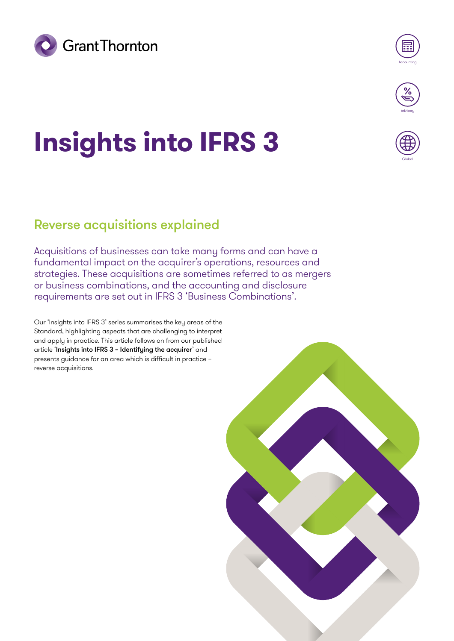



Globa

# **Insights into IFRS 3**

# Reverse acquisitions explained

Acquisitions of businesses can take many forms and can have a fundamental impact on the acquirer's operations, resources and strategies. These acquisitions are sometimes referred to as mergers or business combinations, and the accounting and disclosure requirements are set out in IFRS 3 'Business Combinations'.

Our 'Insights into IFRS 3' series summarises the key areas of the Standard, highlighting aspects that are challenging to interpret and apply in practice. This article follows on from our published article '[Insights into IFRS 3 – Identifying the acquirer](https://www.grantthornton.global/en/insights/articles/ifrs-3-insights/IFRS-3-Identifying-the-acquirer/)' and presents guidance for an area which is difficult in practice – reverse acquisitions.

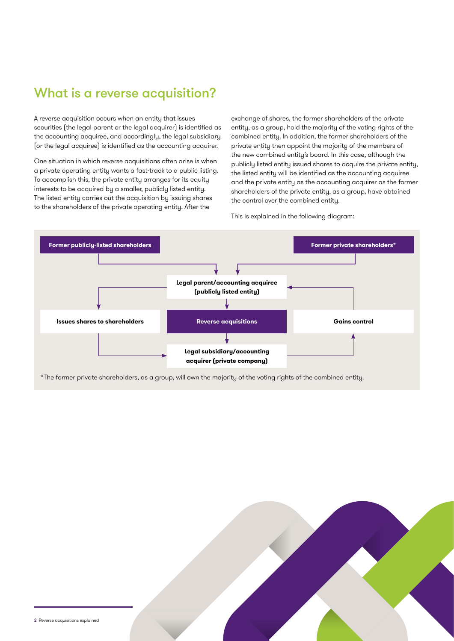# What is a reverse acquisition?

A reverse acquisition occurs when an entity that issues securities (the legal parent or the legal acquirer) is identified as the accounting acquiree, and accordingly, the legal subsidiary (or the legal acquiree) is identified as the accounting acquirer.

One situation in which reverse acquisitions often arise is when a private operating entity wants a fast-track to a public listing. To accomplish this, the private entity arranges for its equity interests to be acquired by a smaller, publicly listed entity. The listed entity carries out the acquisition by issuing shares to the shareholders of the private operating entity. After the

exchange of shares, the former shareholders of the private entity, as a group, hold the majority of the voting rights of the combined entity. In addition, the former shareholders of the private entity then appoint the majority of the members of the new combined entity's board. In this case, although the publicly listed entity issued shares to acquire the private entity, the listed entity will be identified as the accounting acquiree and the private entity as the accounting acquirer as the former shareholders of the private entity, as a group, have obtained the control over the combined entity.

This is explained in the following diagram:



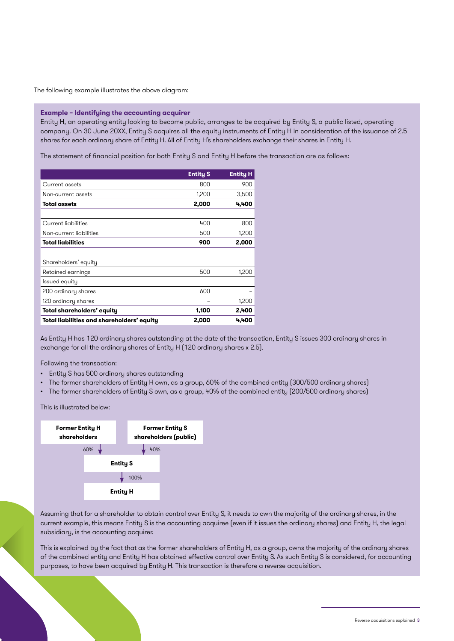The following example illustrates the above diagram:

#### **Example – Identifying the accounting acquirer**

Entity H, an operating entity looking to become public, arranges to be acquired by Entity S, a public listed, operating company. On 30 June 20XX, Entity S acquires all the equity instruments of Entity H in consideration of the issuance of 2.5 shares for each ordinary share of Entity H. All of Entity H's shareholders exchange their shares in Entity H.

The statement of financial position for both Entity S and Entity H before the transaction are as follows:

|                                            | <b>Entity S</b> | <b>Entity H</b> |
|--------------------------------------------|-----------------|-----------------|
| Current assets                             | 800             | 900             |
| Non-current assets                         | 1.200           | 3,500           |
| Total assets                               | 2,000           | 4,400           |
|                                            |                 |                 |
| Current liabilities                        | 400             | 800             |
| Non-current liabilities                    | 500             | 1,200           |
| <b>Total liabilities</b>                   | 900             | 2,000           |
|                                            |                 |                 |
| Shareholders' equity                       |                 |                 |
| Retained earnings                          | 500             | 1,200           |
| lssued equity                              |                 |                 |
| 200 ordinary shares                        | 600             |                 |
| 120 ordinary shares                        |                 | 1,200           |
| Total shareholders' equity                 | 1,100           | 2,400           |
| Total liabilities and shareholders' equity | 2,000           | 4,400           |

As Entity H has 120 ordinary shares outstanding at the date of the transaction, Entity S issues 300 ordinary shares in exchange for all the ordinary shares of Entity H (120 ordinary shares x 2.5).

Following the transaction:

- Entity S has 500 ordinary shares outstanding
- The former shareholders of Entity H own, as a group, 60% of the combined entity (300/500 ordinary shares)
- The former shareholders of Entity S own, as a group, 40% of the combined entity (200/500 ordinary shares)

This is illustrated below:



Assuming that for a shareholder to obtain control over Entity S, it needs to own the majority of the ordinary shares, in the current example, this means Entity S is the accounting acquiree (even if it issues the ordinary shares) and Entity H, the legal subsidiary, is the accounting acquirer.

This is explained by the fact that as the former shareholders of Entity H, as a group, owns the majority of the ordinary shares of the combined entity and Entity H has obtained effective control over Entity S. As such Entity S is considered, for accounting purposes, to have been acquired by Entity H. This transaction is therefore a reverse acquisition.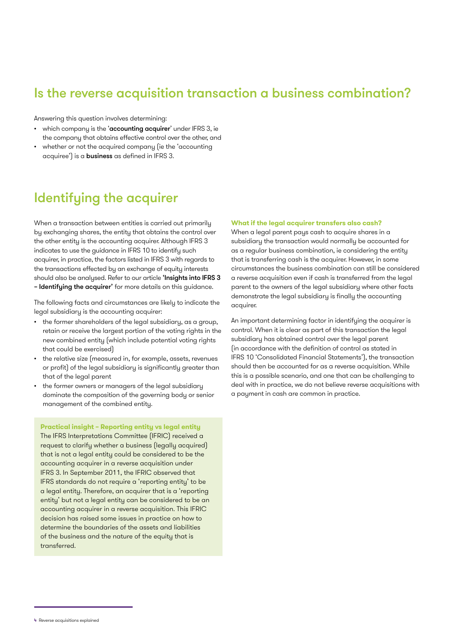## Is the reverse acquisition transaction a business combination?

Answering this question involves determining:

- which company is the 'accounting acquirer' under IFRS 3, ie the company that obtains effective control over the other, and
- whether or not the acquired company (ie the 'accounting acquiree') is a business as defined in IFRS 3.

## Identifying the acquirer

When a transaction between entities is carried out primarily by exchanging shares, the entity that obtains the control over the other entity is the accounting acquirer. Although IFRS 3 indicates to use the guidance in IFRS 10 to identify such acquirer, in practice, the factors listed in IFRS 3 with regards to the transactions effected by an exchange of equity interests should also be analysed. Refer to our article ['Insights into IFRS 3](https://www.grantthornton.global/en/insights/articles/ifrs-3-insights/IFRS-3-Identifying-the-acquirer/)  - Identifying the acquirer' for more details on this guidance.

The following facts and circumstances are likely to indicate the legal subsidiary is the accounting acquirer:

- the former shareholders of the legal subsidiary, as a group, retain or receive the largest portion of the voting rights in the new combined entity (which include potential voting rights that could be exercised)
- the relative size (measured in, for example, assets, revenues or profit) of the legal subsidiary is significantly greater than that of the legal parent
- the former owners or managers of the legal subsidiary dominate the composition of the governing body or senior management of the combined entity.

#### **Practical insight – Reporting entity vs legal entity**

The IFRS Interpretations Committee (IFRIC) received a request to clarify whether a business (legally acquired) that is not a legal entity could be considered to be the accounting acquirer in a reverse acquisition under IFRS 3. In September 2011, the IFRIC observed that IFRS standards do not require a 'reporting entity' to be a legal entity. Therefore, an acquirer that is a 'reporting entity' but not a legal entity can be considered to be an accounting acquirer in a reverse acquisition. This IFRIC decision has raised some issues in practice on how to determine the boundaries of the assets and liabilities of the business and the nature of the equity that is transferred.

#### **What if the legal acquirer transfers also cash?**

When a legal parent pays cash to acquire shares in a subsidiary the transaction would normally be accounted for as a regular business combination, ie considering the entity that is transferring cash is the acquirer. However, in some circumstances the business combination can still be considered a reverse acquisition even if cash is transferred from the legal parent to the owners of the legal subsidiary where other facts demonstrate the legal subsidiary is finally the accounting acquirer.

An important determining factor in identifying the acquirer is control. When it is clear as part of this transaction the legal subsidiary has obtained control over the legal parent (in accordance with the definition of control as stated in IFRS 10 'Consolidated Financial Statements'), the transaction should then be accounted for as a reverse acquisition. While this is a possible scenario, and one that can be challenging to deal with in practice, we do not believe reverse acquisitions with a payment in cash are common in practice.

<sup>4</sup> Reverse acquisitions explained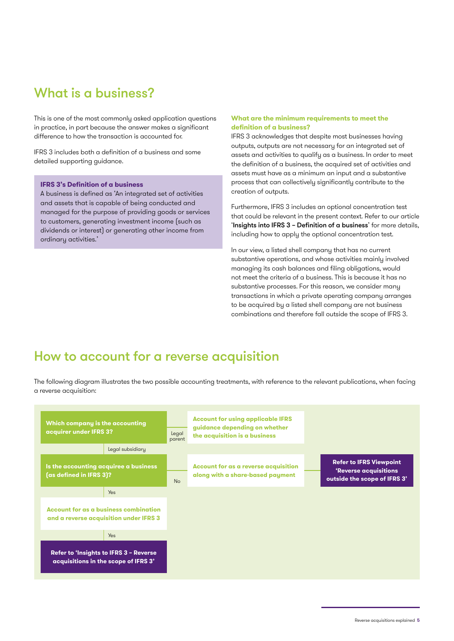# What is a business?

This is one of the most commonly asked application questions in practice, in part because the answer makes a significant difference to how the transaction is accounted for.

IFRS 3 includes both a definition of a business and some detailed supporting guidance.

#### **IFRS 3's Definition of a business**

A business is defined as 'An integrated set of activities and assets that is capable of being conducted and managed for the purpose of providing goods or services to customers, generating investment income (such as dividends or interest) or generating other income from ordinary activities.'

#### **What are the minimum requirements to meet the definition of a business?**

IFRS 3 acknowledges that despite most businesses having outputs, outputs are not necessary for an integrated set of assets and activities to qualify as a business. In order to meet the definition of a business, the acquired set of activities and assets must have as a minimum an input and a substantive process that can collectively significantly contribute to the creation of outputs.

Furthermore, IFRS 3 includes an optional concentration test that could be relevant in the present context. Refer to our article 'Insights into IFRS 3 - Definition of a business' for more details, including how to apply the optional concentration test.

In our view, a listed shell company that has no current substantive operations, and whose activities mainly involved managing its cash balances and filing obligations, would not meet the criteria of a business. This is because it has no substantive processes. For this reason, we consider many transactions in which a private operating company arranges to be acquired by a listed shell company are not business combinations and therefore fall outside the scope of IFRS 3.

## How to account for a reverse acquisition

The following diagram illustrates the two possible accounting treatments, with reference to the relevant publications, when facing a reverse acquisition: